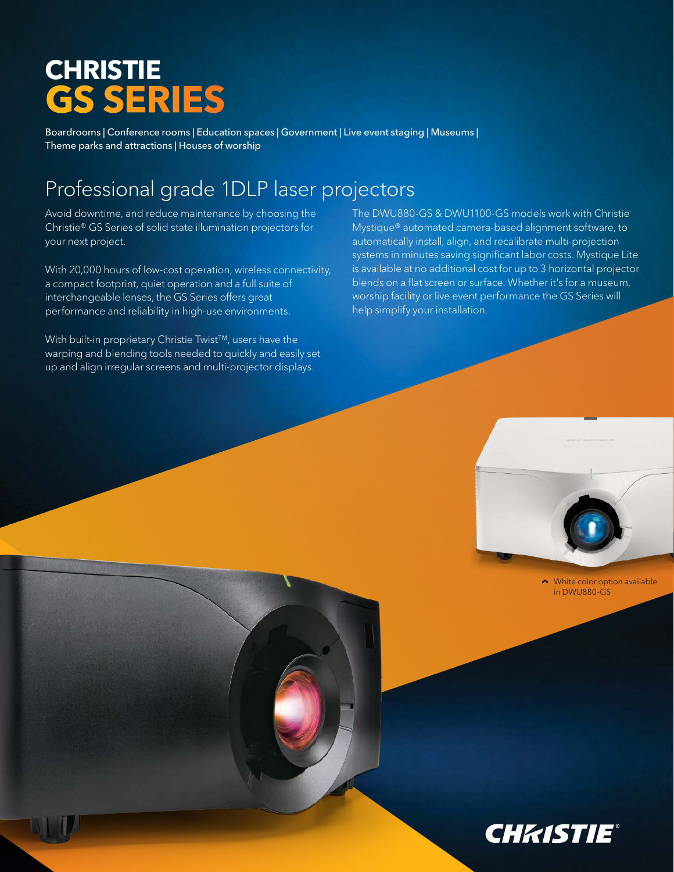## **CHRISTIE GS SERIES**

Boardrooms | Conference rooms | Education spaces | Government | Live event staging | Museums | Theme parks and attractions | Houses of worship

## Professional grade 1DLP laser projectors

Avoid downtime, and reduce maintenance by choosing the Christie® GS Series of solid state illumination projectors for your next project.

With 20,000 hours of low-cost operation, wireless connectivity, a compact footprint, quiet operation and a full suite of interchangeable lenses, the GS Series offers great performance and reliability in high-use environments.

With built-in proprietary Christie Twist™, users have the warping and blending tools needed to quickly and easily set up and align irregular screens and multi-projector displays.

The DWU880-GS & DWU1100-GS models work with Christie Mystique® automated camera-based alignment software, to automatically install, align, and recalibrate multi-projection systems in minutes saving significant labor costs. Mystique Lite is available at no additional cost for up to 3 horizontal projector blends on a flat screen or surface. Whether it's for a museum, worship facility or live event performance the GS Series will help simplify your installation.



 $\sim$  White color option available in DWU880-GS